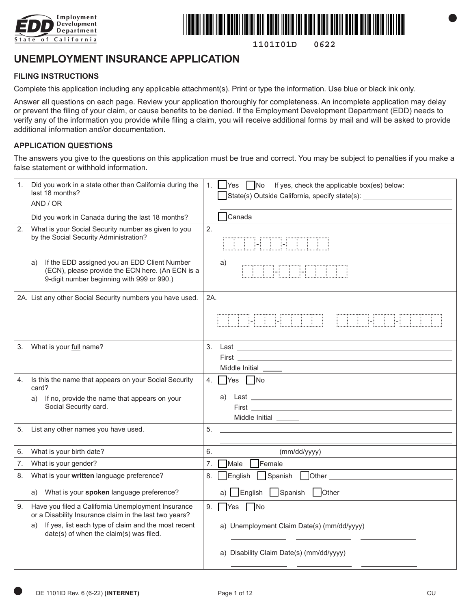



**1101I01D 0622**

# **UNEMPLOYMENT INSURANCE APPLICATION**

#### **FILING INSTRUCTIONS**

Complete this application including any applicable attachment(s). Print or type the information. Use blue or black ink only.

Answer all questions on each page. Review your application thoroughly for completeness. An incomplete application may delay or prevent the filing of your claim, or cause benefits to be denied. If the Employment Development Department (EDD) needs to verify any of the information you provide while filing a claim, you will receive additional forms by mail and will be asked to provide additional information and/or documentation.

#### **APPLICATION QUESTIONS**

The answers you give to the questions on this application must be true and correct. You may be subject to penalties if you make a false statement or withhold information.

| 1. | Did you work in a state other than California during the<br>last 18 months?<br>AND / OR                                                              | 1.  | $\Box$ Yes $\Box$ No If yes, check the applicable box(es) below:<br>State(s) Outside California, specify state(s): ____________                                                                                                                  |
|----|------------------------------------------------------------------------------------------------------------------------------------------------------|-----|--------------------------------------------------------------------------------------------------------------------------------------------------------------------------------------------------------------------------------------------------|
|    | Did you work in Canada during the last 18 months?                                                                                                    |     | $\sqcap$ Canada                                                                                                                                                                                                                                  |
| 2. | What is your Social Security number as given to you<br>by the Social Security Administration?                                                        | 2.  | <b>THE CONSTRUCTION</b>                                                                                                                                                                                                                          |
|    | If the EDD assigned you an EDD Client Number<br>a)<br>(ECN), please provide the ECN here. (An ECN is a<br>9-digit number beginning with 999 or 990.) |     | a)<br><b>ETHER EXPLOSIVE</b>                                                                                                                                                                                                                     |
|    | 2A. List any other Social Security numbers you have used.                                                                                            | 2A. |                                                                                                                                                                                                                                                  |
|    |                                                                                                                                                      |     | <b>THE HELL</b><br><b>CONSTRUCT</b>                                                                                                                                                                                                              |
| 3. | What is your full name?                                                                                                                              | 3.  | Last the contract of the contract of the contract of the contract of the contract of the contract of the contract of the contract of the contract of the contract of the contract of the contract of the contract of the contr<br>Middle Initial |
| 4. | Is this the name that appears on your Social Security<br>card?                                                                                       | 4.  | Yes No                                                                                                                                                                                                                                           |
|    | If no, provide the name that appears on your<br>a)<br>Social Security card.                                                                          |     | a)<br><u>First and the community of the community of the community of the community of the community of the community of the community of the community of the community of the community of the community of the community of the com</u>       |
| 5. | List any other names you have used.                                                                                                                  | 5.  |                                                                                                                                                                                                                                                  |
| 6. | What is your birth date?                                                                                                                             | 6.  | (mm/dd/yyyy)                                                                                                                                                                                                                                     |
| 7. | What is your gender?                                                                                                                                 | 7.  | $\Box$ Female<br>Male                                                                                                                                                                                                                            |
| 8. | What is your written language preference?                                                                                                            | 8.  | English Spanish                                                                                                                                                                                                                                  |
|    | a) What is your spoken language preference?                                                                                                          |     |                                                                                                                                                                                                                                                  |
| 9. | Have you filed a California Unemployment Insurance<br>or a Disability Insurance claim in the last two years?                                         | 9.  | $\Box$ No<br><b>Yes</b>                                                                                                                                                                                                                          |
|    | If yes, list each type of claim and the most recent<br>a)<br>date(s) of when the claim(s) was filed.                                                 |     | a) Unemployment Claim Date(s) (mm/dd/yyyy)                                                                                                                                                                                                       |
|    |                                                                                                                                                      |     | a) Disability Claim Date(s) (mm/dd/yyyy)                                                                                                                                                                                                         |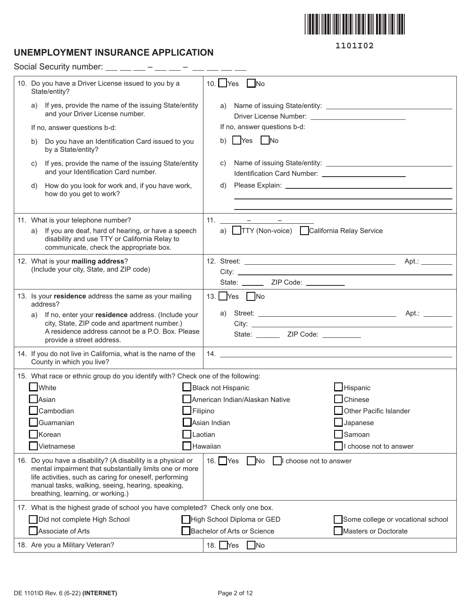

# **UNEMPLOYMENT INSURANCE APPLICATION**

Social Security number:  $\_\_$   $\_\_$  –  $\_\_$  –  $\_$  –  $\_$  –  $\_$  –  $\_$ 

| 10. Do you have a Driver License issued to you by a<br>State/entity?                                                                                                                                                                                                         | 10. $Yes$<br>l No                                                                                                                                                                                                                                                                                                                                                                                                                                                                                          |
|------------------------------------------------------------------------------------------------------------------------------------------------------------------------------------------------------------------------------------------------------------------------------|------------------------------------------------------------------------------------------------------------------------------------------------------------------------------------------------------------------------------------------------------------------------------------------------------------------------------------------------------------------------------------------------------------------------------------------------------------------------------------------------------------|
| If yes, provide the name of the issuing State/entity<br>a)<br>and your Driver License number.                                                                                                                                                                                | a)                                                                                                                                                                                                                                                                                                                                                                                                                                                                                                         |
| If no, answer questions b-d:                                                                                                                                                                                                                                                 | If no, answer questions b-d:                                                                                                                                                                                                                                                                                                                                                                                                                                                                               |
| Do you have an Identification Card issued to you<br>b)<br>by a State/entity?                                                                                                                                                                                                 | No<br><b>Yes</b><br>b)                                                                                                                                                                                                                                                                                                                                                                                                                                                                                     |
| If yes, provide the name of the issuing State/entity<br>C)<br>and your Identification Card number.                                                                                                                                                                           | C)<br>Identification Card Number: 2008 2012 2022 2023                                                                                                                                                                                                                                                                                                                                                                                                                                                      |
| How do you look for work and, if you have work,<br>d)<br>how do you get to work?                                                                                                                                                                                             | Please Explain: University of the Contract of the Contract of the Contract of the Contract of the Contract of<br>d)                                                                                                                                                                                                                                                                                                                                                                                        |
|                                                                                                                                                                                                                                                                              |                                                                                                                                                                                                                                                                                                                                                                                                                                                                                                            |
| 11. What is your telephone number?                                                                                                                                                                                                                                           | 11.<br>$\mathcal{L}_{\mathcal{A}} = \underbrace{\mathcal{L}_{\mathcal{A}} \mathcal{L}_{\mathcal{A}} \mathcal{L}_{\mathcal{A}} + \mathcal{L}_{\mathcal{A}} \mathcal{L}_{\mathcal{A}} \mathcal{L}_{\mathcal{A}} \mathcal{L}_{\mathcal{A}} \mathcal{L}_{\mathcal{A}} \mathcal{L}_{\mathcal{A}} \mathcal{L}_{\mathcal{A}} \mathcal{L}_{\mathcal{A}} \mathcal{L}_{\mathcal{A}} \mathcal{L}_{\mathcal{A}} \mathcal{L}_{\mathcal{A}} \mathcal{L}_{\mathcal{A}} \mathcal{L}_{\mathcal{A}} \mathcal{L}_{\mathcal{A$ |
| If you are deaf, hard of hearing, or have a speech<br>a)<br>disability and use TTY or California Relay to<br>communicate, check the appropriate box.                                                                                                                         | a) TTY (Non-voice) California Relay Service                                                                                                                                                                                                                                                                                                                                                                                                                                                                |
| 12. What is your mailing address?                                                                                                                                                                                                                                            |                                                                                                                                                                                                                                                                                                                                                                                                                                                                                                            |
| (Include your city, State, and ZIP code)                                                                                                                                                                                                                                     | City: <u>the contract of the contract of the contract of the contract of the contract of the contract of the contract of the contract of the contract of the contract of the contract of the contract of the contract of the con</u>                                                                                                                                                                                                                                                                       |
|                                                                                                                                                                                                                                                                              | State: ________ ZIP Code: __________                                                                                                                                                                                                                                                                                                                                                                                                                                                                       |
| 13. Is your residence address the same as your mailing<br>address?                                                                                                                                                                                                           | 13. Yes $\n  No$                                                                                                                                                                                                                                                                                                                                                                                                                                                                                           |
| If no, enter your residence address. (Include your<br>a)<br>city, State, ZIP code and apartment number.)                                                                                                                                                                     | a)                                                                                                                                                                                                                                                                                                                                                                                                                                                                                                         |
| A residence address cannot be a P.O. Box. Please                                                                                                                                                                                                                             | City: the contract of the contract of the contract of the contract of the contract of the contract of the contract of the contract of the contract of the contract of the contract of the contract of the contract of the cont<br>State: _________ ZIP Code: __________                                                                                                                                                                                                                                    |
| provide a street address.                                                                                                                                                                                                                                                    |                                                                                                                                                                                                                                                                                                                                                                                                                                                                                                            |
| 14. If you do not live in California, what is the name of the<br>County in which you live?                                                                                                                                                                                   |                                                                                                                                                                                                                                                                                                                                                                                                                                                                                                            |
| 15. What race or ethnic group do you identify with? Check one of the following:                                                                                                                                                                                              |                                                                                                                                                                                                                                                                                                                                                                                                                                                                                                            |
| <b>White</b>                                                                                                                                                                                                                                                                 | Black not Hispanic<br>Hispanic                                                                                                                                                                                                                                                                                                                                                                                                                                                                             |
| Asian                                                                                                                                                                                                                                                                        | American Indian/Alaskan Native<br>Chinese                                                                                                                                                                                                                                                                                                                                                                                                                                                                  |
| Cambodian                                                                                                                                                                                                                                                                    | $\blacksquare$ Filipino<br>Other Pacific Islander                                                                                                                                                                                                                                                                                                                                                                                                                                                          |
| Guamanian                                                                                                                                                                                                                                                                    | Asian Indian<br>Japanese                                                                                                                                                                                                                                                                                                                                                                                                                                                                                   |
| Korean                                                                                                                                                                                                                                                                       | Laotian<br>Samoan                                                                                                                                                                                                                                                                                                                                                                                                                                                                                          |
| Vietnamese                                                                                                                                                                                                                                                                   | Hawaiian<br>choose not to answer                                                                                                                                                                                                                                                                                                                                                                                                                                                                           |
| 16. Do you have a disability? (A disability is a physical or<br>mental impairment that substantially limits one or more<br>life activities, such as caring for oneself, performing<br>manual tasks, walking, seeing, hearing, speaking,<br>breathing, learning, or working.) | 16. $Yes$<br>$\overline{\phantom{a}}$ No<br>I choose not to answer                                                                                                                                                                                                                                                                                                                                                                                                                                         |
| 17. What is the highest grade of school you have completed? Check only one box.                                                                                                                                                                                              |                                                                                                                                                                                                                                                                                                                                                                                                                                                                                                            |
| Did not complete High School                                                                                                                                                                                                                                                 | High School Diploma or GED<br>Some college or vocational school                                                                                                                                                                                                                                                                                                                                                                                                                                            |
| Associate of Arts                                                                                                                                                                                                                                                            | Bachelor of Arts or Science<br>Masters or Doctorate                                                                                                                                                                                                                                                                                                                                                                                                                                                        |
| 18. Are you a Military Veteran?                                                                                                                                                                                                                                              | 18. Yes No                                                                                                                                                                                                                                                                                                                                                                                                                                                                                                 |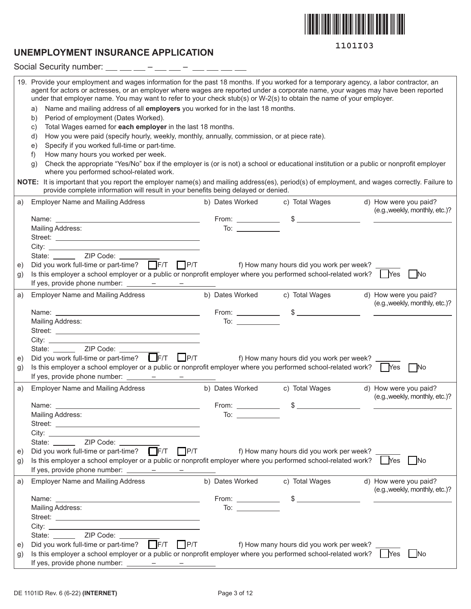

### **UNEMPLOYMENT INSURANCE APPLICATION**

| 19. Provide your employment and wages information for the past 18 months. If you worked for a temporary agency, a labor contractor, an<br>agent for actors or actresses, or an employer where wages are reported under a corporate name, your wages may have been reported<br>under that employer name. You may want to refer to your check stub(s) or W-2(s) to obtain the name of your employer.<br>Name and mailing address of all employers you worked for in the last 18 months.<br>a)<br>Period of employment (Dates Worked).<br>b)<br>Total Wages earned for each employer in the last 18 months.<br>C)<br>How you were paid (specify hourly, weekly, monthly, annually, commission, or at piece rate).<br>d)<br>Specify if you worked full-time or part-time.<br>e)<br>How many hours you worked per week.<br>f)<br>Check the appropriate "Yes/No" box if the employer is (or is not) a school or educational institution or a public or nonprofit employer<br>g)<br>where you performed school-related work.<br>NOTE: It is important that you report the employer name(s) and mailing address(es), period(s) of employment, and wages correctly. Failure to<br>provide complete information will result in your benefits being delayed or denied. |                                                      |                                            |                                                         |  |  |  |  |  |
|-------------------------------------------------------------------------------------------------------------------------------------------------------------------------------------------------------------------------------------------------------------------------------------------------------------------------------------------------------------------------------------------------------------------------------------------------------------------------------------------------------------------------------------------------------------------------------------------------------------------------------------------------------------------------------------------------------------------------------------------------------------------------------------------------------------------------------------------------------------------------------------------------------------------------------------------------------------------------------------------------------------------------------------------------------------------------------------------------------------------------------------------------------------------------------------------------------------------------------------------------------------|------------------------------------------------------|--------------------------------------------|---------------------------------------------------------|--|--|--|--|--|
| <b>Employer Name and Mailing Address</b><br>a)                                                                                                                                                                                                                                                                                                                                                                                                                                                                                                                                                                                                                                                                                                                                                                                                                                                                                                                                                                                                                                                                                                                                                                                                              | b) Dates Worked                                      | c) Total Wages                             | d) How were you paid?                                   |  |  |  |  |  |
|                                                                                                                                                                                                                                                                                                                                                                                                                                                                                                                                                                                                                                                                                                                                                                                                                                                                                                                                                                                                                                                                                                                                                                                                                                                             |                                                      |                                            | (e.g., weekly, monthly, etc.)?                          |  |  |  |  |  |
| Mailing Address:                                                                                                                                                                                                                                                                                                                                                                                                                                                                                                                                                                                                                                                                                                                                                                                                                                                                                                                                                                                                                                                                                                                                                                                                                                            | $\overline{a}$ To: $\overline{a}$ To: $\overline{a}$ |                                            |                                                         |  |  |  |  |  |
|                                                                                                                                                                                                                                                                                                                                                                                                                                                                                                                                                                                                                                                                                                                                                                                                                                                                                                                                                                                                                                                                                                                                                                                                                                                             |                                                      |                                            |                                                         |  |  |  |  |  |
|                                                                                                                                                                                                                                                                                                                                                                                                                                                                                                                                                                                                                                                                                                                                                                                                                                                                                                                                                                                                                                                                                                                                                                                                                                                             |                                                      |                                            |                                                         |  |  |  |  |  |
| State: ________ ZIP Code: _______                                                                                                                                                                                                                                                                                                                                                                                                                                                                                                                                                                                                                                                                                                                                                                                                                                                                                                                                                                                                                                                                                                                                                                                                                           |                                                      |                                            |                                                         |  |  |  |  |  |
| Did you work full-time or part-time? $\Box$ F/T $\Box$ P/T<br>e)                                                                                                                                                                                                                                                                                                                                                                                                                                                                                                                                                                                                                                                                                                                                                                                                                                                                                                                                                                                                                                                                                                                                                                                            |                                                      | f) How many hours did you work per week? _ |                                                         |  |  |  |  |  |
| Is this employer a school employer or a public or nonprofit employer where you performed school-related work? $\Box$ Yes $\Box$ No<br>g)                                                                                                                                                                                                                                                                                                                                                                                                                                                                                                                                                                                                                                                                                                                                                                                                                                                                                                                                                                                                                                                                                                                    |                                                      |                                            |                                                         |  |  |  |  |  |
|                                                                                                                                                                                                                                                                                                                                                                                                                                                                                                                                                                                                                                                                                                                                                                                                                                                                                                                                                                                                                                                                                                                                                                                                                                                             |                                                      |                                            |                                                         |  |  |  |  |  |
| <b>Employer Name and Mailing Address</b><br>a)                                                                                                                                                                                                                                                                                                                                                                                                                                                                                                                                                                                                                                                                                                                                                                                                                                                                                                                                                                                                                                                                                                                                                                                                              | b) Dates Worked c) Total Wages                       |                                            | d) How were you paid?<br>(e.g., weekly, monthly, etc.)? |  |  |  |  |  |
|                                                                                                                                                                                                                                                                                                                                                                                                                                                                                                                                                                                                                                                                                                                                                                                                                                                                                                                                                                                                                                                                                                                                                                                                                                                             |                                                      | From: $\qquad \qquad$ \$ $\qquad \qquad$   |                                                         |  |  |  |  |  |
| Mailing Address:                                                                                                                                                                                                                                                                                                                                                                                                                                                                                                                                                                                                                                                                                                                                                                                                                                                                                                                                                                                                                                                                                                                                                                                                                                            |                                                      |                                            |                                                         |  |  |  |  |  |
|                                                                                                                                                                                                                                                                                                                                                                                                                                                                                                                                                                                                                                                                                                                                                                                                                                                                                                                                                                                                                                                                                                                                                                                                                                                             |                                                      |                                            |                                                         |  |  |  |  |  |
| State: _______ ZIP Code: ____                                                                                                                                                                                                                                                                                                                                                                                                                                                                                                                                                                                                                                                                                                                                                                                                                                                                                                                                                                                                                                                                                                                                                                                                                               |                                                      |                                            |                                                         |  |  |  |  |  |
| Did you work full-time or part-time? $\Box$ F/T $\Box$ P/T<br>e)                                                                                                                                                                                                                                                                                                                                                                                                                                                                                                                                                                                                                                                                                                                                                                                                                                                                                                                                                                                                                                                                                                                                                                                            |                                                      | f) How many hours did you work per week? _ |                                                         |  |  |  |  |  |
| Is this employer a school employer or a public or nonprofit employer where you performed school-related work? $\bigcap$ Yes $\bigcap$ No<br>g)                                                                                                                                                                                                                                                                                                                                                                                                                                                                                                                                                                                                                                                                                                                                                                                                                                                                                                                                                                                                                                                                                                              |                                                      |                                            |                                                         |  |  |  |  |  |
| If yes, provide phone number: $\frac{\ }{\ }$ - - - - -                                                                                                                                                                                                                                                                                                                                                                                                                                                                                                                                                                                                                                                                                                                                                                                                                                                                                                                                                                                                                                                                                                                                                                                                     |                                                      |                                            |                                                         |  |  |  |  |  |
| <b>Employer Name and Mailing Address</b><br>a)                                                                                                                                                                                                                                                                                                                                                                                                                                                                                                                                                                                                                                                                                                                                                                                                                                                                                                                                                                                                                                                                                                                                                                                                              | b) Dates Worked                                      | c) Total Wages                             | d) How were you paid?                                   |  |  |  |  |  |
|                                                                                                                                                                                                                                                                                                                                                                                                                                                                                                                                                                                                                                                                                                                                                                                                                                                                                                                                                                                                                                                                                                                                                                                                                                                             |                                                      |                                            | (e.g., weekly, monthly, etc.)?                          |  |  |  |  |  |
| Name: ____                                                                                                                                                                                                                                                                                                                                                                                                                                                                                                                                                                                                                                                                                                                                                                                                                                                                                                                                                                                                                                                                                                                                                                                                                                                  | From: $\_\_$                                         | $\frac{1}{2}$                              |                                                         |  |  |  |  |  |
| Mailing Address:                                                                                                                                                                                                                                                                                                                                                                                                                                                                                                                                                                                                                                                                                                                                                                                                                                                                                                                                                                                                                                                                                                                                                                                                                                            | To: $\qquad \qquad$                                  |                                            |                                                         |  |  |  |  |  |
|                                                                                                                                                                                                                                                                                                                                                                                                                                                                                                                                                                                                                                                                                                                                                                                                                                                                                                                                                                                                                                                                                                                                                                                                                                                             |                                                      |                                            |                                                         |  |  |  |  |  |
|                                                                                                                                                                                                                                                                                                                                                                                                                                                                                                                                                                                                                                                                                                                                                                                                                                                                                                                                                                                                                                                                                                                                                                                                                                                             |                                                      |                                            |                                                         |  |  |  |  |  |
| State: ________ ZIP Code: ______                                                                                                                                                                                                                                                                                                                                                                                                                                                                                                                                                                                                                                                                                                                                                                                                                                                                                                                                                                                                                                                                                                                                                                                                                            |                                                      |                                            |                                                         |  |  |  |  |  |
| Did you work full-time or part-time? F/T P/T<br>e)<br>Is this employer a school employer or a public or nonprofit employer where you performed school-related work? Wes                                                                                                                                                                                                                                                                                                                                                                                                                                                                                                                                                                                                                                                                                                                                                                                                                                                                                                                                                                                                                                                                                     |                                                      | f) How many hours did you work per week? _ | No.                                                     |  |  |  |  |  |
| g)                                                                                                                                                                                                                                                                                                                                                                                                                                                                                                                                                                                                                                                                                                                                                                                                                                                                                                                                                                                                                                                                                                                                                                                                                                                          |                                                      |                                            |                                                         |  |  |  |  |  |
|                                                                                                                                                                                                                                                                                                                                                                                                                                                                                                                                                                                                                                                                                                                                                                                                                                                                                                                                                                                                                                                                                                                                                                                                                                                             | b) Dates Worked                                      |                                            |                                                         |  |  |  |  |  |
| <b>Employer Name and Mailing Address</b><br>a)                                                                                                                                                                                                                                                                                                                                                                                                                                                                                                                                                                                                                                                                                                                                                                                                                                                                                                                                                                                                                                                                                                                                                                                                              |                                                      | c) Total Wages                             | d) How were you paid?<br>(e.g., weekly, monthly, etc.)? |  |  |  |  |  |
|                                                                                                                                                                                                                                                                                                                                                                                                                                                                                                                                                                                                                                                                                                                                                                                                                                                                                                                                                                                                                                                                                                                                                                                                                                                             |                                                      |                                            | <u> 1989 - Johann Stein, mars and de Branden</u>        |  |  |  |  |  |
| Mailing Address:                                                                                                                                                                                                                                                                                                                                                                                                                                                                                                                                                                                                                                                                                                                                                                                                                                                                                                                                                                                                                                                                                                                                                                                                                                            | To: $\qquad \qquad$                                  |                                            |                                                         |  |  |  |  |  |
|                                                                                                                                                                                                                                                                                                                                                                                                                                                                                                                                                                                                                                                                                                                                                                                                                                                                                                                                                                                                                                                                                                                                                                                                                                                             |                                                      |                                            |                                                         |  |  |  |  |  |
|                                                                                                                                                                                                                                                                                                                                                                                                                                                                                                                                                                                                                                                                                                                                                                                                                                                                                                                                                                                                                                                                                                                                                                                                                                                             |                                                      |                                            |                                                         |  |  |  |  |  |
| State: ________ ZIP Code: _____                                                                                                                                                                                                                                                                                                                                                                                                                                                                                                                                                                                                                                                                                                                                                                                                                                                                                                                                                                                                                                                                                                                                                                                                                             |                                                      |                                            |                                                         |  |  |  |  |  |
| Did you work full-time or part-time? F/T P/T<br>e)                                                                                                                                                                                                                                                                                                                                                                                                                                                                                                                                                                                                                                                                                                                                                                                                                                                                                                                                                                                                                                                                                                                                                                                                          |                                                      | f) How many hours did you work per week?   |                                                         |  |  |  |  |  |
| Is this employer a school employer or a public or nonprofit employer where you performed school-related work?<br>g)                                                                                                                                                                                                                                                                                                                                                                                                                                                                                                                                                                                                                                                                                                                                                                                                                                                                                                                                                                                                                                                                                                                                         |                                                      |                                            | No.<br>  Yes                                            |  |  |  |  |  |

If yes, provide phone number:  $\frac{\ }{\ }$  -  $\frac{\ }{\ }$  -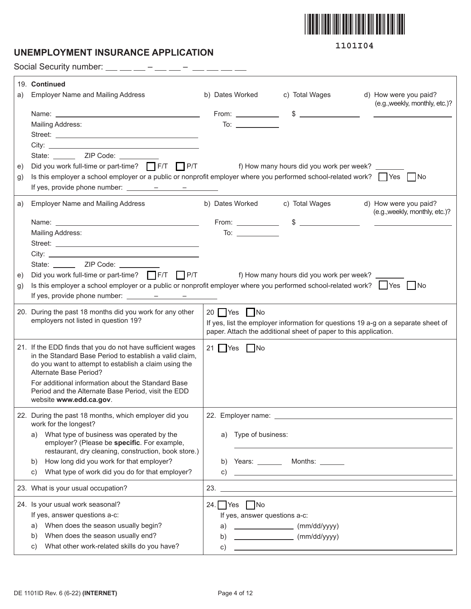

### **UNEMPLOYMENT INSURANCE APPLICATION**

**1101I04**

Social Security number:  $\_\_$   $\_\_$  –  $\_\_$  –  $\_$  –  $\_$  –  $\_$  –  $\_$ 

|    | 19. Continued                                                                                                                                                                                                                                                                                                                                                                                                                                                                       |                                                                                                                                    |                                                                                           |                                                                                   |  |  |
|----|-------------------------------------------------------------------------------------------------------------------------------------------------------------------------------------------------------------------------------------------------------------------------------------------------------------------------------------------------------------------------------------------------------------------------------------------------------------------------------------|------------------------------------------------------------------------------------------------------------------------------------|-------------------------------------------------------------------------------------------|-----------------------------------------------------------------------------------|--|--|
| a) | <b>Employer Name and Mailing Address</b>                                                                                                                                                                                                                                                                                                                                                                                                                                            | b) Dates Worked                                                                                                                    | c) Total Wages                                                                            | d) How were you paid?                                                             |  |  |
|    |                                                                                                                                                                                                                                                                                                                                                                                                                                                                                     |                                                                                                                                    |                                                                                           | (e.g., weekly, monthly, etc.)?                                                    |  |  |
|    | Mailing Address:                                                                                                                                                                                                                                                                                                                                                                                                                                                                    | To: $\_\_$                                                                                                                         |                                                                                           | <u> 1990 - Johann Barnett, fransk politik (</u>                                   |  |  |
|    |                                                                                                                                                                                                                                                                                                                                                                                                                                                                                     |                                                                                                                                    |                                                                                           |                                                                                   |  |  |
|    |                                                                                                                                                                                                                                                                                                                                                                                                                                                                                     |                                                                                                                                    |                                                                                           |                                                                                   |  |  |
|    |                                                                                                                                                                                                                                                                                                                                                                                                                                                                                     |                                                                                                                                    |                                                                                           |                                                                                   |  |  |
| e) | Did you work full-time or part-time? TF/T TP/T f) How many hours did you work per week?                                                                                                                                                                                                                                                                                                                                                                                             |                                                                                                                                    |                                                                                           |                                                                                   |  |  |
| g) | Is this employer a school employer or a public or nonprofit employer where you performed school-related work? $\Box$ Yes $\Box$ No                                                                                                                                                                                                                                                                                                                                                  |                                                                                                                                    |                                                                                           |                                                                                   |  |  |
|    |                                                                                                                                                                                                                                                                                                                                                                                                                                                                                     |                                                                                                                                    |                                                                                           |                                                                                   |  |  |
| a) | <b>Employer Name and Mailing Address</b>                                                                                                                                                                                                                                                                                                                                                                                                                                            |                                                                                                                                    | b) Dates Worked c) Total Wages                                                            | d) How were you paid?                                                             |  |  |
|    |                                                                                                                                                                                                                                                                                                                                                                                                                                                                                     |                                                                                                                                    |                                                                                           | (e.g., weekly, monthly, etc.)?                                                    |  |  |
|    |                                                                                                                                                                                                                                                                                                                                                                                                                                                                                     |                                                                                                                                    | From: $\qquad \qquad$ \$ $\qquad \qquad$                                                  |                                                                                   |  |  |
|    | Mailing Address:                                                                                                                                                                                                                                                                                                                                                                                                                                                                    | To: $\qquad \qquad$                                                                                                                |                                                                                           |                                                                                   |  |  |
|    |                                                                                                                                                                                                                                                                                                                                                                                                                                                                                     |                                                                                                                                    |                                                                                           |                                                                                   |  |  |
|    |                                                                                                                                                                                                                                                                                                                                                                                                                                                                                     |                                                                                                                                    |                                                                                           |                                                                                   |  |  |
|    | State: ________ ZIP Code: __________                                                                                                                                                                                                                                                                                                                                                                                                                                                |                                                                                                                                    |                                                                                           |                                                                                   |  |  |
| e) | Did you work full-time or part-time? $\Box$ F/T $\Box$ P/T                                                                                                                                                                                                                                                                                                                                                                                                                          | f) How many hours did you work per week?                                                                                           |                                                                                           |                                                                                   |  |  |
| g) |                                                                                                                                                                                                                                                                                                                                                                                                                                                                                     | Is this employer a school employer or a public or nonprofit employer where you performed school-related work? $\Box$ Yes $\Box$ No |                                                                                           |                                                                                   |  |  |
|    | If yes, provide phone number: $\frac{\qquad \qquad - \qquad \qquad - \qquad \qquad - \qquad \qquad - \qquad \qquad }{\qquad \qquad - \qquad \qquad - \qquad \qquad - \qquad \qquad - \qquad \qquad - \qquad \qquad - \qquad \qquad - \qquad \qquad - \qquad \qquad - \qquad \qquad - \qquad \qquad - \qquad \qquad - \qquad \qquad - \qquad \qquad - \qquad \qquad - \qquad \qquad - \qquad \qquad - \qquad \qquad - \qquad \qquad - \qquad \qquad - \qquad \qquad - \qquad \qquad$ |                                                                                                                                    |                                                                                           |                                                                                   |  |  |
|    | 20. During the past 18 months did you work for any other                                                                                                                                                                                                                                                                                                                                                                                                                            | 20 Yes No                                                                                                                          |                                                                                           |                                                                                   |  |  |
|    | employers not listed in question 19?                                                                                                                                                                                                                                                                                                                                                                                                                                                |                                                                                                                                    |                                                                                           | If yes, list the employer information for questions 19 a-g on a separate sheet of |  |  |
|    |                                                                                                                                                                                                                                                                                                                                                                                                                                                                                     |                                                                                                                                    | paper. Attach the additional sheet of paper to this application.                          |                                                                                   |  |  |
|    | 21. If the EDD finds that you do not have sufficient wages                                                                                                                                                                                                                                                                                                                                                                                                                          | 21 $\Box$ Yes $\Box$ No                                                                                                            |                                                                                           |                                                                                   |  |  |
|    | in the Standard Base Period to establish a valid claim,<br>do you want to attempt to establish a claim using the                                                                                                                                                                                                                                                                                                                                                                    |                                                                                                                                    |                                                                                           |                                                                                   |  |  |
|    | Alternate Base Period?                                                                                                                                                                                                                                                                                                                                                                                                                                                              |                                                                                                                                    |                                                                                           |                                                                                   |  |  |
|    | For additional information about the Standard Base                                                                                                                                                                                                                                                                                                                                                                                                                                  |                                                                                                                                    |                                                                                           |                                                                                   |  |  |
|    | Period and the Alternate Base Period, visit the EDD                                                                                                                                                                                                                                                                                                                                                                                                                                 |                                                                                                                                    |                                                                                           |                                                                                   |  |  |
|    | website www.edd.ca.gov.                                                                                                                                                                                                                                                                                                                                                                                                                                                             |                                                                                                                                    |                                                                                           |                                                                                   |  |  |
|    | 22. During the past 18 months, which employer did you                                                                                                                                                                                                                                                                                                                                                                                                                               |                                                                                                                                    |                                                                                           |                                                                                   |  |  |
|    | work for the longest?                                                                                                                                                                                                                                                                                                                                                                                                                                                               |                                                                                                                                    |                                                                                           |                                                                                   |  |  |
|    | What type of business was operated by the<br>a)<br>employer? (Please be specific. For example,                                                                                                                                                                                                                                                                                                                                                                                      | Type of business:<br>a)                                                                                                            |                                                                                           |                                                                                   |  |  |
|    | restaurant, dry cleaning, construction, book store.)                                                                                                                                                                                                                                                                                                                                                                                                                                |                                                                                                                                    |                                                                                           |                                                                                   |  |  |
|    | How long did you work for that employer?<br>b)                                                                                                                                                                                                                                                                                                                                                                                                                                      |                                                                                                                                    | b) Years: _________ Months: _______                                                       |                                                                                   |  |  |
|    | What type of work did you do for that employer?<br>C)                                                                                                                                                                                                                                                                                                                                                                                                                               | C)                                                                                                                                 | the control of the control of the control of the control of the control of the control of |                                                                                   |  |  |
|    | 23. What is your usual occupation?                                                                                                                                                                                                                                                                                                                                                                                                                                                  | 23.                                                                                                                                |                                                                                           |                                                                                   |  |  |
|    | 24. Is your usual work seasonal?                                                                                                                                                                                                                                                                                                                                                                                                                                                    | 24. $Yes$ No                                                                                                                       |                                                                                           |                                                                                   |  |  |
|    | If yes, answer questions a-c:                                                                                                                                                                                                                                                                                                                                                                                                                                                       | If yes, answer questions a-c:                                                                                                      |                                                                                           |                                                                                   |  |  |
|    | When does the season usually begin?<br>a)                                                                                                                                                                                                                                                                                                                                                                                                                                           | a)                                                                                                                                 | $\begin{array}{c}\n\text{mm/dd/yyyy}\n\end{array}$                                        |                                                                                   |  |  |
|    | When does the season usually end?<br>b)                                                                                                                                                                                                                                                                                                                                                                                                                                             | b)                                                                                                                                 | (mm/dd/yyyy)                                                                              |                                                                                   |  |  |
|    | What other work-related skills do you have?<br>C)                                                                                                                                                                                                                                                                                                                                                                                                                                   | C)                                                                                                                                 | <u> 1980 - Johann Barn, amerikansk politiker (</u>                                        |                                                                                   |  |  |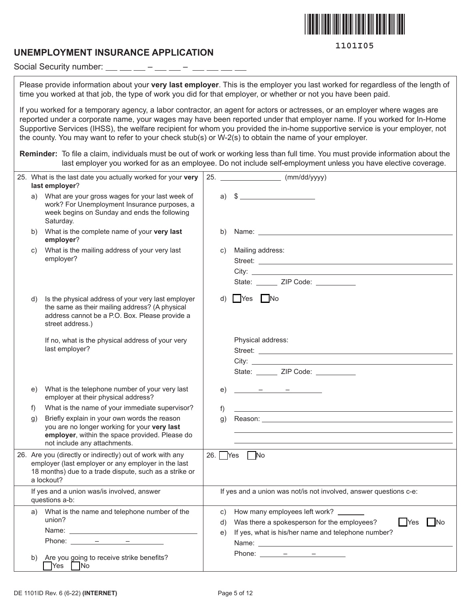

#### **UNEMPLOYMENT INSURANCE APPLICATION**

Social Security number:  $\frac{1}{1}$  =  $\frac{1}{1}$  =  $\frac{1}{1}$  =  $\frac{1}{1}$  =  $\frac{1}{1-\alpha} \frac{1}{1-\alpha} \frac{1}{1-\alpha} \frac{1}{1-\alpha} \frac{1}{1-\alpha} \frac{1}{1-\alpha} \frac{1}{1-\alpha} \frac{1}{1-\alpha} \frac{1}{1-\alpha} \frac{1}{1-\alpha} \frac{1}{1-\alpha} \frac{1}{1-\alpha} \frac{1}{1-\alpha} \frac{1}{1-\alpha} \frac{1}{1-\alpha} \frac{1}{1-\alpha} \frac{1}{1-\alpha} \frac{1}{1-\alpha} \frac{1}{1-\alpha} \frac{1}{1-\alpha} \frac{1}{1-\alpha} \frac{1}{1-\alpha} \frac{1}{1-\alpha} \frac{1}{1-\alpha} \frac{1$ 

Please provide information about your **very last employer**. This is the employer you last worked for regardless of the length of time you worked at that job, the type of work you did for that employer, or whether or not you have been paid.

If you worked for a temporary agency, a labor contractor, an agent for actors or actresses, or an employer where wages are reported under a corporate name, your wages may have been reported under that employer name. If you worked for In-Home Supportive Services (IHSS), the welfare recipient for whom you provided the in-home supportive service is your employer, not the county. You may want to refer to your check stub(s) or W-2(s) to obtain the name of your employer.

**Reminder:** To file a claim, individuals must be out of work or working less than full time. You must provide information about the last employer you worked for as an employee. Do not include self-employment unless you have elective coverage.

|                                                              | 25. What is the last date you actually worked for your very<br>last employer?                                                                                                                                                                                                                                                                                                                                                                                                                                                                                                                                              | 25. |                                                                   | $\frac{1}{2}$ (mm/dd/yyyy)                                                                                                                                                                                                     |
|--------------------------------------------------------------|----------------------------------------------------------------------------------------------------------------------------------------------------------------------------------------------------------------------------------------------------------------------------------------------------------------------------------------------------------------------------------------------------------------------------------------------------------------------------------------------------------------------------------------------------------------------------------------------------------------------------|-----|-------------------------------------------------------------------|--------------------------------------------------------------------------------------------------------------------------------------------------------------------------------------------------------------------------------|
| a)                                                           | What are your gross wages for your last week of<br>work? For Unemployment Insurance purposes, a<br>week begins on Sunday and ends the following<br>Saturday.                                                                                                                                                                                                                                                                                                                                                                                                                                                               |     |                                                                   | a) $\sqrt[3]{}$                                                                                                                                                                                                                |
| b)                                                           | What is the complete name of your very last<br>employer?                                                                                                                                                                                                                                                                                                                                                                                                                                                                                                                                                                   |     | b)                                                                | Name: <u>www.communications.com</u>                                                                                                                                                                                            |
| C)                                                           | What is the mailing address of your very last<br>employer?                                                                                                                                                                                                                                                                                                                                                                                                                                                                                                                                                                 |     | C)                                                                | Mailing address:<br>State: ______ ZIP Code: _________                                                                                                                                                                          |
| d)                                                           | Is the physical address of your very last employer<br>the same as their mailing address? (A physical<br>address cannot be a P.O. Box. Please provide a<br>street address.)                                                                                                                                                                                                                                                                                                                                                                                                                                                 |     | d)                                                                | $\bigcap$ Yes $\bigcap$ No                                                                                                                                                                                                     |
|                                                              | If no, what is the physical address of your very<br>last employer?                                                                                                                                                                                                                                                                                                                                                                                                                                                                                                                                                         |     |                                                                   | Physical address:<br>State: ______ ZIP Code: _________                                                                                                                                                                         |
| e)                                                           | What is the telephone number of your very last<br>employer at their physical address?                                                                                                                                                                                                                                                                                                                                                                                                                                                                                                                                      |     | e)                                                                |                                                                                                                                                                                                                                |
| f)                                                           | What is the name of your immediate supervisor?                                                                                                                                                                                                                                                                                                                                                                                                                                                                                                                                                                             |     | f)                                                                |                                                                                                                                                                                                                                |
| $\mathfrak{g}$ )                                             | Briefly explain in your own words the reason<br>you are no longer working for your very last<br>employer, within the space provided. Please do<br>not include any attachments.                                                                                                                                                                                                                                                                                                                                                                                                                                             |     | $\mathsf{q}$ )                                                    | Reason: The contract of the contract of the contract of the contract of the contract of the contract of the contract of the contract of the contract of the contract of the contract of the contract of the contract of the co |
|                                                              | 26. Are you (directly or indirectly) out of work with any<br>employer (last employer or any employer in the last<br>18 months) due to a trade dispute, such as a strike or<br>a lockout?                                                                                                                                                                                                                                                                                                                                                                                                                                   |     |                                                                   | 26. $Yes$<br>$\Box$ No                                                                                                                                                                                                         |
| If yes and a union was/is involved, answer<br>questions a-b: |                                                                                                                                                                                                                                                                                                                                                                                                                                                                                                                                                                                                                            |     | If yes and a union was not/is not involved, answer questions c-e: |                                                                                                                                                                                                                                |
|                                                              | a) What is the name and telephone number of the<br>union?<br>Phone: $\frac{\qquad \qquad - \qquad \qquad - \qquad \qquad - \qquad \qquad - \qquad \qquad }{\qquad \qquad - \qquad \qquad - \qquad \qquad - \qquad \qquad - \qquad \qquad - \qquad \qquad - \qquad \qquad - \qquad \qquad - \qquad \qquad - \qquad \qquad - \qquad \qquad - \qquad \qquad - \qquad \qquad - \qquad \qquad - \qquad \qquad - \qquad \qquad - \qquad \qquad - \qquad \qquad - \qquad \qquad - \qquad \qquad - \qquad \qquad - \qquad \qquad - \qquad \qquad - \qquad \qquad - \qquad \qquad - \$<br>Are you going to receive strike benefits? |     | C)<br>d)<br>e)                                                    | How many employees left work?<br>Was there a spokesperson for the employees?<br><b>No</b><br>  Yes<br>If yes, what is his/her name and telephone number?<br>Phone: $ -$                                                        |
| b)                                                           | $\bigcap$ Yes $\bigcap$ No                                                                                                                                                                                                                                                                                                                                                                                                                                                                                                                                                                                                 |     |                                                                   |                                                                                                                                                                                                                                |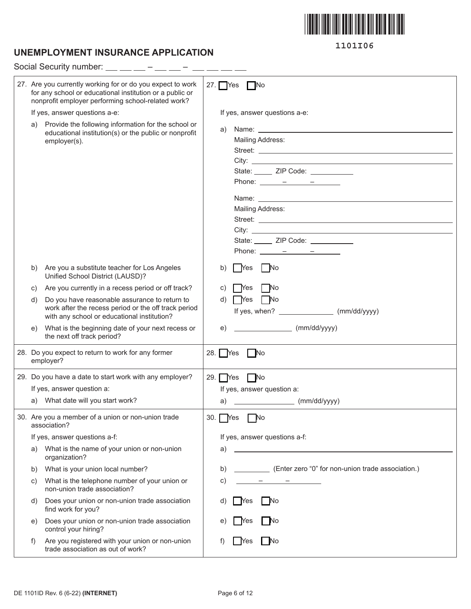

# **UNEMPLOYMENT INSURANCE APPLICATION**

|    | Social Security number:                                                                                                                                                      |                                                                                                                                                                                                                                                                                                                                                                                                                                                                                                                                                                                                                                                                                                                |  |  |  |  |
|----|------------------------------------------------------------------------------------------------------------------------------------------------------------------------------|----------------------------------------------------------------------------------------------------------------------------------------------------------------------------------------------------------------------------------------------------------------------------------------------------------------------------------------------------------------------------------------------------------------------------------------------------------------------------------------------------------------------------------------------------------------------------------------------------------------------------------------------------------------------------------------------------------------|--|--|--|--|
|    | 27. Are you currently working for or do you expect to work<br>for any school or educational institution or a public or<br>nonprofit employer performing school-related work? | 27. $Yes$ No                                                                                                                                                                                                                                                                                                                                                                                                                                                                                                                                                                                                                                                                                                   |  |  |  |  |
|    | If yes, answer questions a-e:                                                                                                                                                | If yes, answer questions a-e:                                                                                                                                                                                                                                                                                                                                                                                                                                                                                                                                                                                                                                                                                  |  |  |  |  |
| a) | Provide the following information for the school or<br>educational institution(s) or the public or nonprofit<br>employer(s).                                                 | Name: <u>University</u> Name: 2004<br>a)<br><b>Mailing Address:</b><br>State: ______ ZIP Code: __________<br>Phone: $\frac{\ }{\ }$ $\frac{\ }{\ }$ $\frac{\ }{\ }$ $\frac{\ }{\ }$ $\frac{\ }{\ }$ $\frac{\ }{\ }$ $\frac{\ }{\ }$<br><b>Mailing Address:</b><br>State: ______ ZIP Code: __________<br>Phone: $\frac{\ }{\ }$ $\frac{\ }{\ }$ $\frac{\ }{\ }$ $\frac{\ }{\ }$ $\frac{\ }{\ }$ $\frac{\ }{\ }$ $\frac{\ }{\ }$ $\frac{\ }{\ }$ $\frac{\ }{\ }$ $\frac{\ }{\ }$ $\frac{\ }{\ }$ $\frac{\ }{\ }$ $\frac{\ }{\ }$ $\frac{\ }{\ }$ $\frac{\ }{\ }$ $\frac{\ }{\ }$ $\frac{\ }{\ }$ $\frac{\ }{\ }$ $\frac{\ }{\ }$ $\frac{\ }{\ }$ $\frac{\ }{\ }$ $\frac{\ }{\ }$ $\frac{\ }{\ }$ $\frac{\ }{\ }$ |  |  |  |  |
| b) | Are you a substitute teacher for Los Angeles<br>Unified School District (LAUSD)?                                                                                             | l Yes<br>- No<br>b)                                                                                                                                                                                                                                                                                                                                                                                                                                                                                                                                                                                                                                                                                            |  |  |  |  |
| C) | Are you currently in a recess period or off track?                                                                                                                           | - No<br>C)<br>Yes                                                                                                                                                                                                                                                                                                                                                                                                                                                                                                                                                                                                                                                                                              |  |  |  |  |
| d) | Do you have reasonable assurance to return to<br>work after the recess period or the off track period<br>with any school or educational institution?                         | d)<br>l Yes<br>  No                                                                                                                                                                                                                                                                                                                                                                                                                                                                                                                                                                                                                                                                                            |  |  |  |  |
| e) | What is the beginning date of your next recess or<br>the next off track period?                                                                                              | (mm/dd/yyyy)<br>e)                                                                                                                                                                                                                                                                                                                                                                                                                                                                                                                                                                                                                                                                                             |  |  |  |  |
|    | 28. Do you expect to return to work for any former<br>employer?                                                                                                              | 28. Yes No                                                                                                                                                                                                                                                                                                                                                                                                                                                                                                                                                                                                                                                                                                     |  |  |  |  |
|    | 29. Do you have a date to start work with any employer?                                                                                                                      | $N$ o<br>$29.$ Yes                                                                                                                                                                                                                                                                                                                                                                                                                                                                                                                                                                                                                                                                                             |  |  |  |  |
|    | If yes, answer question a:                                                                                                                                                   | If yes, answer question a:                                                                                                                                                                                                                                                                                                                                                                                                                                                                                                                                                                                                                                                                                     |  |  |  |  |
|    | a) What date will you start work?                                                                                                                                            | a)                                                                                                                                                                                                                                                                                                                                                                                                                                                                                                                                                                                                                                                                                                             |  |  |  |  |
|    | 30. Are you a member of a union or non-union trade<br>association?                                                                                                           | 30.<br><b>Nes</b>                                                                                                                                                                                                                                                                                                                                                                                                                                                                                                                                                                                                                                                                                              |  |  |  |  |
|    | If yes, answer questions a-f:                                                                                                                                                | If yes, answer questions a-f:                                                                                                                                                                                                                                                                                                                                                                                                                                                                                                                                                                                                                                                                                  |  |  |  |  |
| a) | What is the name of your union or non-union<br>organization?                                                                                                                 | <u> 1989 - Johann Barn, mars ann an t-Amhain Aonaich an t-Aonaich an t-Aonaich ann an t-Aonaich ann an t-Aonaich</u><br>a)                                                                                                                                                                                                                                                                                                                                                                                                                                                                                                                                                                                     |  |  |  |  |
| b) | What is your union local number?                                                                                                                                             | (Enter zero "0" for non-union trade association.)<br>b)                                                                                                                                                                                                                                                                                                                                                                                                                                                                                                                                                                                                                                                        |  |  |  |  |
| C) | What is the telephone number of your union or<br>non-union trade association?                                                                                                | C)<br>the contract of the contract of                                                                                                                                                                                                                                                                                                                                                                                                                                                                                                                                                                                                                                                                          |  |  |  |  |
| d) | Does your union or non-union trade association<br>find work for you?                                                                                                         | - No<br>Yes                                                                                                                                                                                                                                                                                                                                                                                                                                                                                                                                                                                                                                                                                                    |  |  |  |  |
| e) | Does your union or non-union trade association<br>control your hiring?                                                                                                       | - No<br>′es                                                                                                                                                                                                                                                                                                                                                                                                                                                                                                                                                                                                                                                                                                    |  |  |  |  |
| f) | Are you registered with your union or non-union<br>trade association as out of work?                                                                                         | <b>INO</b><br>res                                                                                                                                                                                                                                                                                                                                                                                                                                                                                                                                                                                                                                                                                              |  |  |  |  |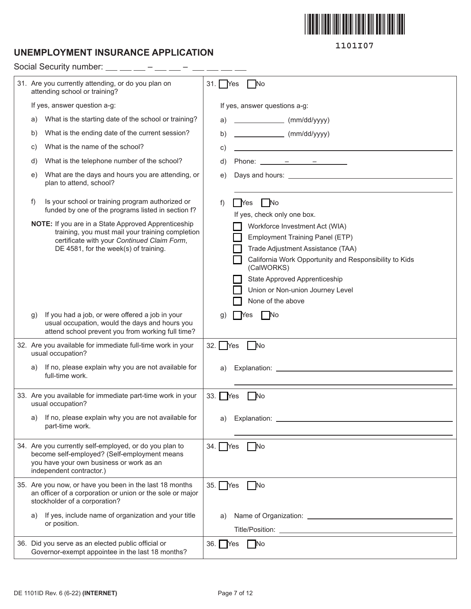

### **UNEMPLOYMENT INSURANCE APPLICATION**

Social Security number:  $\_\_$   $\_\_$  –  $\_\_$  –  $\_$  –  $\_$  –  $\_$  –  $\_$ 

**1101I07**

| 31. Are you currently attending, or do you plan on<br>attending school or training?                                                                                                             | 31. Yes<br>No                                                                                                                                                                                                                                                            |
|-------------------------------------------------------------------------------------------------------------------------------------------------------------------------------------------------|--------------------------------------------------------------------------------------------------------------------------------------------------------------------------------------------------------------------------------------------------------------------------|
| If yes, answer question a-g:                                                                                                                                                                    | If yes, answer questions a-g:                                                                                                                                                                                                                                            |
| What is the starting date of the school or training?<br>a)                                                                                                                                      | $\frac{1}{2}$ (mm/dd/yyyy)<br>a)                                                                                                                                                                                                                                         |
| What is the ending date of the current session?<br>b)                                                                                                                                           | $\frac{1}{\text{mm}/\text{dd}/\text{yyy}}$<br>b)                                                                                                                                                                                                                         |
| What is the name of the school?<br>C)                                                                                                                                                           | C)<br>the control of the control of the control of the control of the control of                                                                                                                                                                                         |
| What is the telephone number of the school?<br>d)                                                                                                                                               | d)<br>Phone: $ -$                                                                                                                                                                                                                                                        |
| What are the days and hours you are attending, or<br>e)<br>plan to attend, school?                                                                                                              | e)                                                                                                                                                                                                                                                                       |
| Is your school or training program authorized or<br>f)<br>funded by one of the programs listed in section f?                                                                                    | $\overline{\phantom{a}}$ No<br>f)<br>Yes<br>If yes, check only one box.                                                                                                                                                                                                  |
| NOTE: If you are in a State Approved Apprenticeship<br>training, you must mail your training completion<br>certificate with your Continued Claim Form,<br>DE 4581, for the week(s) of training. | Workforce Investment Act (WIA)<br>Employment Training Panel (ETP)<br>Trade Adjustment Assistance (TAA)<br>California Work Opportunity and Responsibility to Kids<br>(CalWORKS)<br>State Approved Apprenticeship<br>Union or Non-union Journey Level<br>None of the above |
| If you had a job, or were offered a job in your<br>$\mathfrak{g}$<br>usual occupation, would the days and hours you<br>attend school prevent you from working full time?                        | No<br>g)<br><b>Yes</b>                                                                                                                                                                                                                                                   |
| 32. Are you available for immediate full-time work in your<br>usual occupation?                                                                                                                 | $32.$ Yes<br>No                                                                                                                                                                                                                                                          |
| If no, please explain why you are not available for<br>a)<br>full-time work.                                                                                                                    | a)                                                                                                                                                                                                                                                                       |
| 33. Are you available for immediate part-time work in your<br>usual occupation?                                                                                                                 | 33. Yes<br><b>No</b>                                                                                                                                                                                                                                                     |
| a) If no, please explain why you are not available for<br>part-time work.                                                                                                                       | a) Explanation:                                                                                                                                                                                                                                                          |
| 34. Are you currently self-employed, or do you plan to<br>become self-employed? (Self-employment means<br>you have your own business or work as an<br>independent contractor.)                  | $34.$ Yes<br><b>No</b>                                                                                                                                                                                                                                                   |
| 35. Are you now, or have you been in the last 18 months<br>an officer of a corporation or union or the sole or major<br>stockholder of a corporation?                                           | $35.$ $Yes$<br>No.                                                                                                                                                                                                                                                       |
| If yes, include name of organization and your title<br>a)<br>or position.                                                                                                                       | a)                                                                                                                                                                                                                                                                       |
| 36. Did you serve as an elected public official or<br>Governor-exempt appointee in the last 18 months?                                                                                          | $\Box$ No<br>$36.$ Yes                                                                                                                                                                                                                                                   |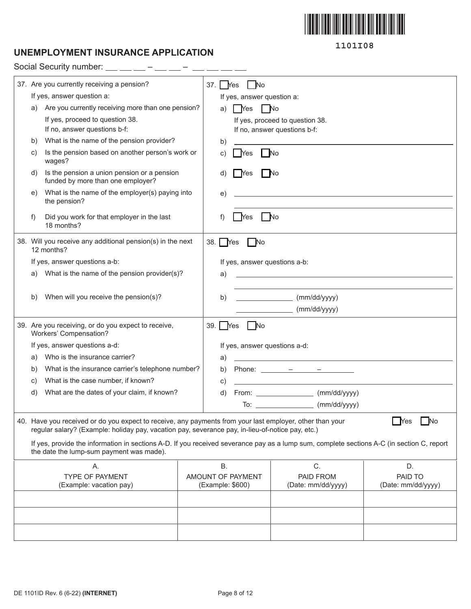

# **UNEMPLOYMENT INSURANCE APPLICATION**

Social Security number: – –

|    | 37. Are you currently receiving a pension?                                                                                                                                                                   | 37.   Yes | l No                          |                                                                                                                     |                                                                                                                      |
|----|--------------------------------------------------------------------------------------------------------------------------------------------------------------------------------------------------------------|-----------|-------------------------------|---------------------------------------------------------------------------------------------------------------------|----------------------------------------------------------------------------------------------------------------------|
|    | If yes, answer question a:                                                                                                                                                                                   |           | If yes, answer question a:    |                                                                                                                     |                                                                                                                      |
| a) | Are you currently receiving more than one pension?                                                                                                                                                           | a)        | Yes<br>  No                   |                                                                                                                     |                                                                                                                      |
|    | If yes, proceed to question 38.                                                                                                                                                                              |           |                               | If yes, proceed to question 38.                                                                                     |                                                                                                                      |
|    | If no, answer questions b-f:                                                                                                                                                                                 |           |                               | If no, answer questions b-f:                                                                                        |                                                                                                                      |
| b) | What is the name of the pension provider?                                                                                                                                                                    | b)        |                               |                                                                                                                     |                                                                                                                      |
| C) | Is the pension based on another person's work or<br>wages?                                                                                                                                                   | C)        | <b>Yes</b>                    | <b>No</b>                                                                                                           |                                                                                                                      |
| d) | Is the pension a union pension or a pension<br>funded by more than one employer?                                                                                                                             | d)        | No<br>Yes                     |                                                                                                                     |                                                                                                                      |
| e) | What is the name of the employer(s) paying into<br>the pension?                                                                                                                                              | e)        |                               |                                                                                                                     |                                                                                                                      |
| f) | Did you work for that employer in the last<br>18 months?                                                                                                                                                     | f)        | Yes                           | - No                                                                                                                |                                                                                                                      |
|    | 38. Will you receive any additional pension(s) in the next<br>12 months?                                                                                                                                     | 38.   Yes | No                            |                                                                                                                     |                                                                                                                      |
|    | If yes, answer questions a-b:                                                                                                                                                                                |           | If yes, answer questions a-b: |                                                                                                                     |                                                                                                                      |
| a) | What is the name of the pension provider(s)?                                                                                                                                                                 | a)        |                               |                                                                                                                     | <u> 1989 - Johann John Stone, markin film yn y brenin y brenin y brenin y brenin y brenin y brenin y brenin y br</u> |
|    |                                                                                                                                                                                                              |           |                               |                                                                                                                     |                                                                                                                      |
| b) | When will you receive the pension(s)?                                                                                                                                                                        | b)        |                               | (mm/dd/yyyy)                                                                                                        |                                                                                                                      |
|    |                                                                                                                                                                                                              |           |                               | (mm/dd/yyyy)                                                                                                        |                                                                                                                      |
|    | 39. Are you receiving, or do you expect to receive,<br>Workers' Compensation?                                                                                                                                | 39. Yes   | No                            |                                                                                                                     |                                                                                                                      |
|    | If yes, answer questions a-d:                                                                                                                                                                                |           | If yes, answer questions a-d: |                                                                                                                     |                                                                                                                      |
| a) | Who is the insurance carrier?                                                                                                                                                                                | a)        |                               | <u> 1989 - Johann Barn, mars eta bainar eta baina eta baina eta baina eta baina eta baina eta baina eta baina e</u> |                                                                                                                      |
| b) | What is the insurance carrier's telephone number?                                                                                                                                                            | b)        |                               |                                                                                                                     |                                                                                                                      |
| C) | What is the case number, if known?                                                                                                                                                                           | C)        |                               |                                                                                                                     |                                                                                                                      |
| d) | What are the dates of your claim, if known?                                                                                                                                                                  | d)        |                               | From: (mm/dd/yyyy)                                                                                                  |                                                                                                                      |
|    |                                                                                                                                                                                                              |           |                               | To: _______________________ (mm/dd/yyyy)                                                                            |                                                                                                                      |
|    | 40. Have you received or do you expect to receive, any payments from your last employer, other than your<br>regular salary? (Example: holiday pay, vacation pay, severance pay, in-lieu-of-notice pay, etc.) |           |                               |                                                                                                                     | <b>No</b><br><b>Yes</b>                                                                                              |
|    | If yes, provide the information in sections A-D. If you received severance pay as a lump sum, complete sections A-C (in section C, report<br>the date the lump-sum payment was made).                        |           |                               |                                                                                                                     |                                                                                                                      |
|    | Α.                                                                                                                                                                                                           | <b>B.</b> |                               | C.                                                                                                                  | D.                                                                                                                   |
|    | <b>TYPE OF PAYMENT</b>                                                                                                                                                                                       |           | AMOUNT OF PAYMENT             | PAID FROM                                                                                                           | PAID TO                                                                                                              |
|    | (Example: vacation pay)                                                                                                                                                                                      |           | (Example: \$600)              | (Date: mm/dd/yyyy)                                                                                                  | (Date: mm/dd/yyyy)                                                                                                   |
|    |                                                                                                                                                                                                              |           |                               |                                                                                                                     |                                                                                                                      |
|    |                                                                                                                                                                                                              |           |                               |                                                                                                                     |                                                                                                                      |
|    |                                                                                                                                                                                                              |           |                               |                                                                                                                     |                                                                                                                      |
|    |                                                                                                                                                                                                              |           |                               |                                                                                                                     |                                                                                                                      |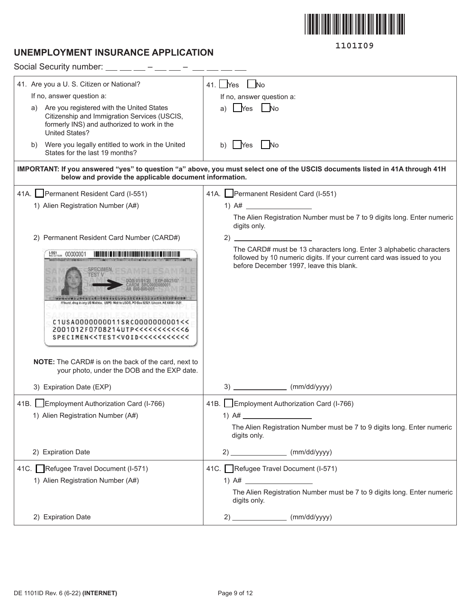

### **UNEMPLOYMENT INSURANCE APPLICATION**

| Social Security number: $\_\_\_\_\_\_$ - $\_\_\_\$ -                                                                                                                    |                                                                                                                                                                                         |
|-------------------------------------------------------------------------------------------------------------------------------------------------------------------------|-----------------------------------------------------------------------------------------------------------------------------------------------------------------------------------------|
| 41. Are you a U. S. Citizen or National?                                                                                                                                | 41. $Yes$ $No$                                                                                                                                                                          |
| If no, answer question a:                                                                                                                                               | If no, answer question a:                                                                                                                                                               |
| Are you registered with the United States<br>a)<br>Citizenship and Immigration Services (USCIS,<br>formerly INS) and authorized to work in the<br><b>United States?</b> | $\overline{\phantom{a}}$ No<br>a)<br>  Yes                                                                                                                                              |
| b) Were you legally entitled to work in the United<br>States for the last 19 months?                                                                                    | $\vert$ No<br>b)<br><b>Nes</b>                                                                                                                                                          |
| below and provide the applicable document information.                                                                                                                  | IMPORTANT: If you answered "yes" to question "a" above, you must select one of the USCIS documents listed in 41A through 41H                                                            |
| 41A. Permanent Resident Card (I-551)                                                                                                                                    | 41A. Permanent Resident Card (I-551)                                                                                                                                                    |
| 1) Alien Registration Number (A#)                                                                                                                                       | 1) $A#$                                                                                                                                                                                 |
|                                                                                                                                                                         | The Alien Registration Number must be 7 to 9 digits long. Enter numeric<br>digits only.                                                                                                 |
| 2) Permanent Resident Card Number (CARD#)                                                                                                                               |                                                                                                                                                                                         |
| $1.551$ 00000001<br>if found, drop in Jan US Maillion, USPS (Mail to USCIS, PO Bax 92521, Lincoln, NE<br>C1USA0000000011SRC0000000001<<<br>2001012F0708214UTP<<<<<<<<<< | The CARD# must be 13 characters long. Enter 3 alphabetic characters<br>followed by 10 numeric digits. If your current card was issued to you<br>before December 1997, leave this blank. |
| NOTE: The CARD# is on the back of the card, next to<br>your photo, under the DOB and the EXP date.                                                                      |                                                                                                                                                                                         |
| 3) Expiration Date (EXP)                                                                                                                                                | 3)<br>_________________ (mm/dd/yyyy)                                                                                                                                                    |
| 41B. Employment Authorization Card (I-766)                                                                                                                              | 41B. Employment Authorization Card (I-766)                                                                                                                                              |
| 1) Alien Registration Number (A#)                                                                                                                                       | 1) $A#$                                                                                                                                                                                 |
|                                                                                                                                                                         | The Alien Registration Number must be 7 to 9 digits long. Enter numeric<br>digits only.                                                                                                 |
| 2) Expiration Date                                                                                                                                                      | $2)$ (mm/dd/yyyy)                                                                                                                                                                       |
| 41C. Refugee Travel Document (I-571)                                                                                                                                    | 41C. Refugee Travel Document (I-571)                                                                                                                                                    |
| 1) Alien Registration Number (A#)                                                                                                                                       | 1) A# $\frac{1}{2}$                                                                                                                                                                     |
|                                                                                                                                                                         | The Alien Registration Number must be 7 to 9 digits long. Enter numeric<br>digits only.                                                                                                 |
| 2) Expiration Date                                                                                                                                                      | $2)$ (mm/dd/yyyy)                                                                                                                                                                       |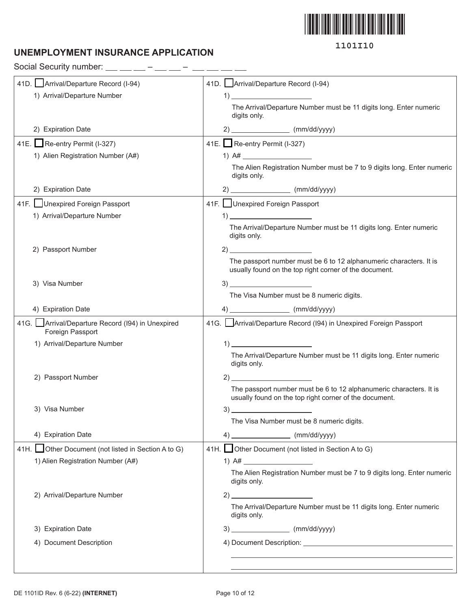

## **UNEMPLOYMENT INSURANCE APPLICATION**

Social Security number:  $\_\_$   $\_\_$  –  $\_\_$  –  $\_\_$  –  $\_\_$  –  $\_\_$ 

| 41D. Arrival/Departure Record (I-94)                                 | 41D. Arrival/Departure Record (I-94)                                                                                         |
|----------------------------------------------------------------------|------------------------------------------------------------------------------------------------------------------------------|
| 1) Arrival/Departure Number                                          | $\mathbf{1) \perp$                                                                                                           |
|                                                                      | The Arrival/Departure Number must be 11 digits long. Enter numeric<br>digits only.                                           |
| 2) Expiration Date                                                   | $2)$ (mm/dd/yyyy)                                                                                                            |
| 41E. Re-entry Permit (I-327)                                         | 41E. Re-entry Permit (I-327)                                                                                                 |
| 1) Alien Registration Number (A#)                                    |                                                                                                                              |
|                                                                      | The Alien Registration Number must be 7 to 9 digits long. Enter numeric<br>digits only.                                      |
| 2) Expiration Date                                                   | $2)$ (mm/dd/yyyy)                                                                                                            |
| 41F. Unexpired Foreign Passport                                      | 41F. Unexpired Foreign Passport                                                                                              |
| 1) Arrival/Departure Number                                          | $\left( \begin{array}{c} 1 \end{array} \right)$                                                                              |
|                                                                      | The Arrival/Departure Number must be 11 digits long. Enter numeric<br>digits only.                                           |
| 2) Passport Number                                                   |                                                                                                                              |
|                                                                      | The passport number must be 6 to 12 alphanumeric characters. It is<br>usually found on the top right corner of the document. |
| 3) Visa Number                                                       |                                                                                                                              |
|                                                                      | The Visa Number must be 8 numeric digits.                                                                                    |
| 4) Expiration Date                                                   | 4) __________________________ (mm/dd/yyyy)                                                                                   |
| 41G. Arrival/Departure Record (I94) in Unexpired<br>Foreign Passport | 41G. Arrival/Departure Record (194) in Unexpired Foreign Passport                                                            |
| 1) Arrival/Departure Number                                          | $\left( \begin{array}{ccc} 1 \end{array} \right)$                                                                            |
|                                                                      | The Arrival/Departure Number must be 11 digits long. Enter numeric<br>digits only.                                           |
| 2) Passport Number                                                   |                                                                                                                              |
|                                                                      | The passport number must be 6 to 12 alphanumeric characters. It is<br>usually found on the top right corner of the document. |
| 3) Visa Number                                                       | 3)                                                                                                                           |
|                                                                      | The Visa Number must be 8 numeric digits.                                                                                    |
| 4) Expiration Date                                                   | $4)$ (mm/dd/yyyy)                                                                                                            |
| 41H. Other Document (not listed in Section A to G)                   | 41H. Other Document (not listed in Section A to G)                                                                           |
| 1) Alien Registration Number (A#)                                    |                                                                                                                              |
|                                                                      | The Alien Registration Number must be 7 to 9 digits long. Enter numeric<br>digits only.                                      |
| 2) Arrival/Departure Number                                          | $2)$ and $2)$                                                                                                                |
|                                                                      | The Arrival/Departure Number must be 11 digits long. Enter numeric<br>digits only.                                           |
| 3) Expiration Date                                                   | $3)$ (mm/dd/yyyy)                                                                                                            |
| 4) Document Description                                              |                                                                                                                              |
|                                                                      |                                                                                                                              |
|                                                                      |                                                                                                                              |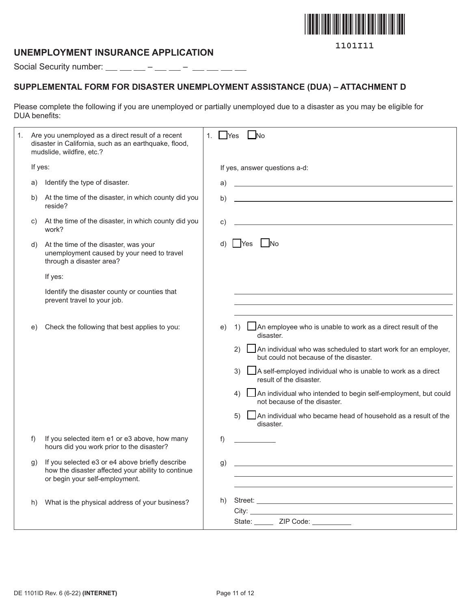

### **UNEMPLOYMENT INSURANCE APPLICATION**

Social Security number:  $\_\_$   $\_\_$  –  $\_\_$  –  $\_\_$  –  $\_\_$  –  $\_\_$ 

## **SUPPLEMENTAL FORM FOR DISASTER UNEMPLOYMENT ASSISTANCE (DUA) – ATTACHMENT D**

Please complete the following if you are unemployed or partially unemployed due to a disaster as you may be eligible for DUA benefits:

| 1. |         | Are you unemployed as a direct result of a recent<br>disaster in California, such as an earthquake, flood,<br>mudslide, wildfire, etc.? | 1. | $\Box$ Yes | $\Box$ No                                                                                                                                                                                                                                                                                                                                                                                                                                                                                      |
|----|---------|-----------------------------------------------------------------------------------------------------------------------------------------|----|------------|------------------------------------------------------------------------------------------------------------------------------------------------------------------------------------------------------------------------------------------------------------------------------------------------------------------------------------------------------------------------------------------------------------------------------------------------------------------------------------------------|
|    | If yes: |                                                                                                                                         |    |            | If yes, answer questions a-d:                                                                                                                                                                                                                                                                                                                                                                                                                                                                  |
|    | a)      | Identify the type of disaster.                                                                                                          |    | a)         | <u> 1989 - Johann Barbara, martxa alemaniar arg</u>                                                                                                                                                                                                                                                                                                                                                                                                                                            |
|    | b)      | At the time of the disaster, in which county did you<br>reside?                                                                         |    | b)         |                                                                                                                                                                                                                                                                                                                                                                                                                                                                                                |
|    | C)      | At the time of the disaster, in which county did you<br>work?                                                                           |    | C)         | <u> 1989 - Johann Stoff, deutscher Stoff, der Stoff, der Stoff, der Stoff, der Stoff, der Stoff, der Stoff, der S</u>                                                                                                                                                                                                                                                                                                                                                                          |
|    | d)      | At the time of the disaster, was your<br>unemployment caused by your need to travel<br>through a disaster area?                         |    |            | No.<br>Yes                                                                                                                                                                                                                                                                                                                                                                                                                                                                                     |
|    |         | If yes:                                                                                                                                 |    |            |                                                                                                                                                                                                                                                                                                                                                                                                                                                                                                |
|    |         | Identify the disaster county or counties that<br>prevent travel to your job.                                                            |    |            | the control of the control of the control of the control of the control of the control of the control of the control of the control of the control of the control of the control of the control of the control of the control                                                                                                                                                                                                                                                                  |
|    | e)      | Check the following that best applies to you:                                                                                           |    | e)         | An employee who is unable to work as a direct result of the<br>1)<br>disaster.<br>An individual who was scheduled to start work for an employer,<br>(2)<br>but could not because of the disaster.<br>3)<br>A self-employed individual who is unable to work as a direct<br>result of the disaster.<br>An individual who intended to begin self-employment, but could<br>4)<br>not because of the disaster.<br>5)<br>An individual who became head of household as a result of the<br>disaster. |
|    | f)      | If you selected item e1 or e3 above, how many<br>hours did you work prior to the disaster?                                              |    | f)         |                                                                                                                                                                                                                                                                                                                                                                                                                                                                                                |
|    | g)      | If you selected e3 or e4 above briefly describe<br>how the disaster affected your ability to continue<br>or begin your self-employment. |    | g)         | <u> 1989 - Johann Stoff, fransk politik (d. 1989)</u>                                                                                                                                                                                                                                                                                                                                                                                                                                          |
|    | h)      | What is the physical address of your business?                                                                                          |    | h)         | City: the contract of the contract of the contract of the contract of the contract of the contract of the contract of the contract of the contract of the contract of the contract of the contract of the contract of the cont<br>State: _______ ZIP Code: __________                                                                                                                                                                                                                          |